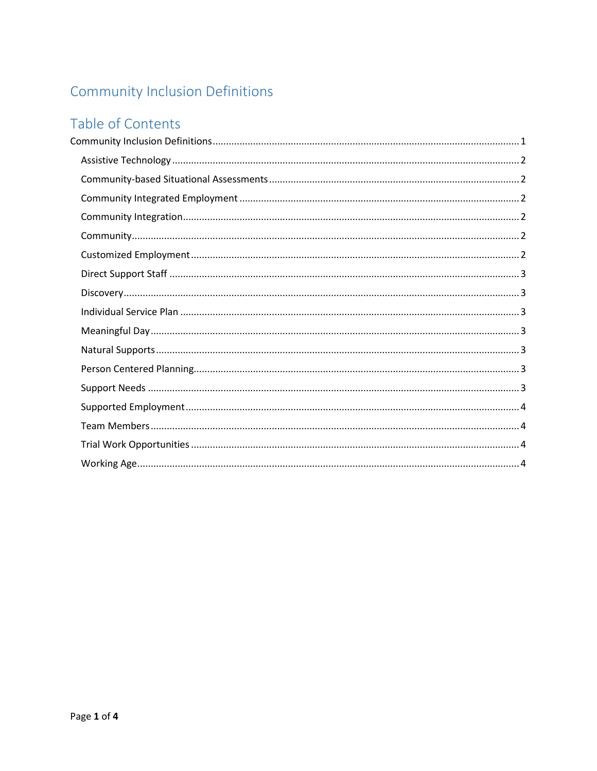# <span id="page-0-0"></span>Community Inclusion Definitions

# Table of Contents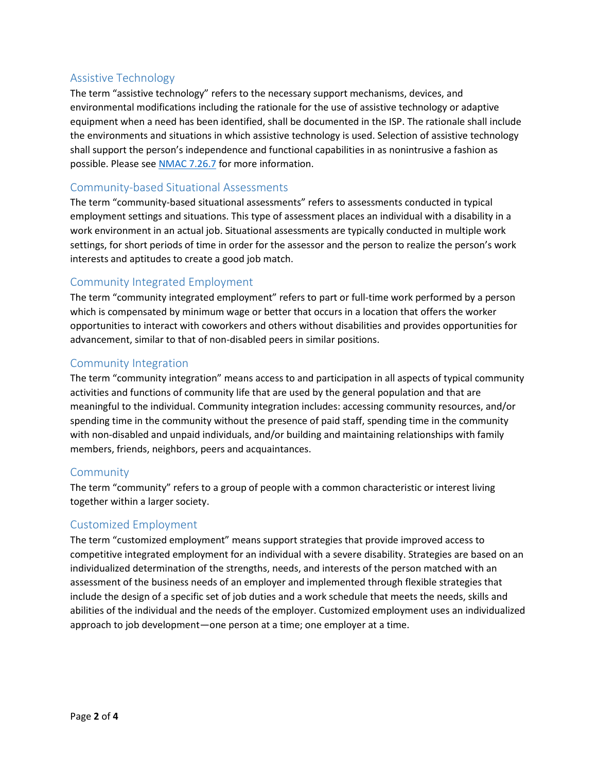# <span id="page-1-0"></span>Assistive Technology

The term "assistive technology" refers to the necessary support mechanisms, devices, and environmental modifications including the rationale for the use of assistive technology or adaptive equipment when a need has been identified, shall be documented in the ISP. The rationale shall include the environments and situations in which assistive technology is used. Selection of assistive technology shall support the person's independence and functional capabilities in as nonintrusive a fashion as possible. Please se[e NMAC 7.26.7](http://164.64.110.239/nmac/parts/title07/07.026.0007.htm) for more information.

# <span id="page-1-1"></span>Community-based Situational Assessments

The term "community-based situational assessments" refers to assessments conducted in typical employment settings and situations. This type of assessment places an individual with a disability in a work environment in an actual job. Situational assessments are typically conducted in multiple work settings, for short periods of time in order for the assessor and the person to realize the person's work interests and aptitudes to create a good job match.

# <span id="page-1-2"></span>Community Integrated Employment

The term "community integrated employment" refers to part or full-time work performed by a person which is compensated by minimum wage or better that occurs in a location that offers the worker opportunities to interact with coworkers and others without disabilities and provides opportunities for advancement, similar to that of non-disabled peers in similar positions.

#### <span id="page-1-3"></span>Community Integration

The term "community integration" means access to and participation in all aspects of typical community activities and functions of community life that are used by the general population and that are meaningful to the individual. Community integration includes: accessing community resources, and/or spending time in the community without the presence of paid staff, spending time in the community with non-disabled and unpaid individuals, and/or building and maintaining relationships with family members, friends, neighbors, peers and acquaintances.

#### <span id="page-1-4"></span>Community

The term "community" refers to a group of people with a common characteristic or interest living together within a larger society.

#### <span id="page-1-5"></span>Customized Employment

The term "customized employment" means support strategies that provide improved access to competitive integrated employment for an individual with a severe disability. Strategies are based on an individualized determination of the strengths, needs, and interests of the person matched with an assessment of the business needs of an employer and implemented through flexible strategies that include the design of a specific set of job duties and a work schedule that meets the needs, skills and abilities of the individual and the needs of the employer. Customized employment uses an individualized approach to job development—one person at a time; one employer at a time.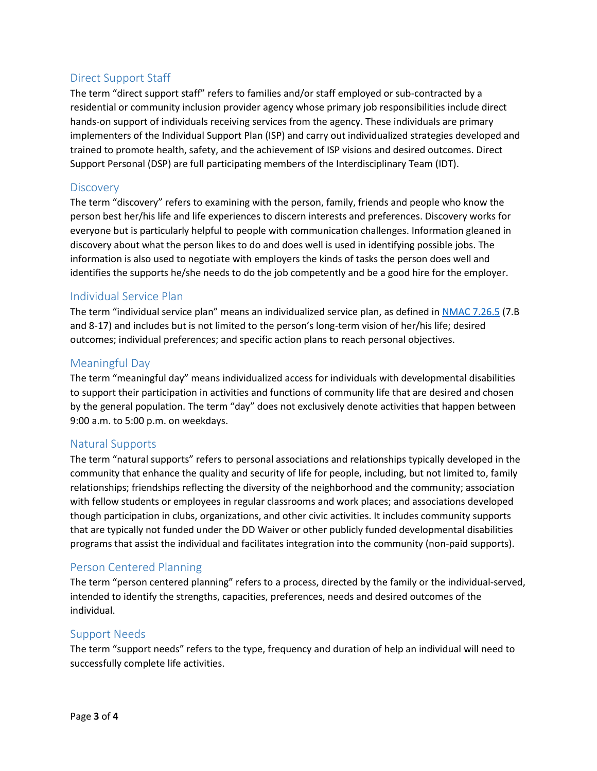# <span id="page-2-0"></span>Direct Support Staff

The term "direct support staff" refers to families and/or staff employed or sub-contracted by a residential or community inclusion provider agency whose primary job responsibilities include direct hands-on support of individuals receiving services from the agency. These individuals are primary implementers of the Individual Support Plan (ISP) and carry out individualized strategies developed and trained to promote health, safety, and the achievement of ISP visions and desired outcomes. Direct Support Personal (DSP) are full participating members of the Interdisciplinary Team (IDT).

#### <span id="page-2-1"></span>**Discovery**

The term "discovery" refers to examining with the person, family, friends and people who know the person best her/his life and life experiences to discern interests and preferences. Discovery works for everyone but is particularly helpful to people with communication challenges. Information gleaned in discovery about what the person likes to do and does well is used in identifying possible jobs. The information is also used to negotiate with employers the kinds of tasks the person does well and identifies the supports he/she needs to do the job competently and be a good hire for the employer.

#### <span id="page-2-2"></span>Individual Service Plan

The term "individual service plan" means an individualized service plan, as defined i[n NMAC 7.26.5](http://164.64.110.239/nmac/parts/title07/07.026.0005.htm) (7.B and 8-17) and includes but is not limited to the person's long-term vision of her/his life; desired outcomes; individual preferences; and specific action plans to reach personal objectives.

#### <span id="page-2-3"></span>Meaningful Day

The term "meaningful day" means individualized access for individuals with developmental disabilities to support their participation in activities and functions of community life that are desired and chosen by the general population. The term "day" does not exclusively denote activities that happen between 9:00 a.m. to 5:00 p.m. on weekdays.

#### <span id="page-2-4"></span>Natural Supports

The term "natural supports" refers to personal associations and relationships typically developed in the community that enhance the quality and security of life for people, including, but not limited to, family relationships; friendships reflecting the diversity of the neighborhood and the community; association with fellow students or employees in regular classrooms and work places; and associations developed though participation in clubs, organizations, and other civic activities. It includes community supports that are typically not funded under the DD Waiver or other publicly funded developmental disabilities programs that assist the individual and facilitates integration into the community (non-paid supports).

# <span id="page-2-5"></span>Person Centered Planning

The term "person centered planning" refers to a process, directed by the family or the individual-served, intended to identify the strengths, capacities, preferences, needs and desired outcomes of the individual.

#### <span id="page-2-6"></span>Support Needs

The term "support needs" refers to the type, frequency and duration of help an individual will need to successfully complete life activities.